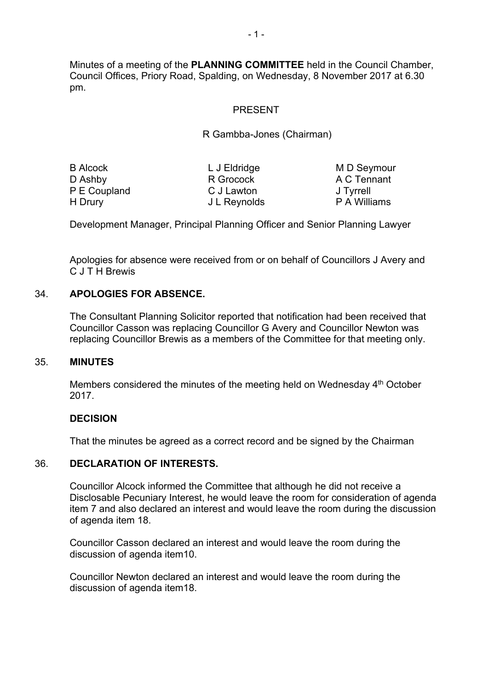Minutes of a meeting of the **PLANNING COMMITTEE** held in the Council Chamber, Council Offices, Priory Road, Spalding, on Wednesday, 8 November 2017 at 6.30 pm.

### PRESENT

### R Gambba-Jones (Chairman)

| <b>B Alcock</b> | L J Eldridge |
|-----------------|--------------|
| D Ashby         | R Grocock    |
| P E Coupland    | C J Lawton   |
| H Drury         | J L Reynolds |

M D Seymour A C Tennant J Tyrrell P A Williams

Development Manager, Principal Planning Officer and Senior Planning Lawyer

Apologies for absence were received from or on behalf of Councillors J Avery and C J T H Brewis

## 34. **APOLOGIES FOR ABSENCE.**

The Consultant Planning Solicitor reported that notification had been received that Councillor Casson was replacing Councillor G Avery and Councillor Newton was replacing Councillor Brewis as a members of the Committee for that meeting only.

#### 35. **MINUTES**

Members considered the minutes of the meeting held on Wednesday 4<sup>th</sup> October 2017.

#### **DECISION**

That the minutes be agreed as a correct record and be signed by the Chairman

### 36. **DECLARATION OF INTERESTS.**

Councillor Alcock informed the Committee that although he did not receive a Disclosable Pecuniary Interest, he would leave the room for consideration of agenda item 7 and also declared an interest and would leave the room during the discussion of agenda item 18.

Councillor Casson declared an interest and would leave the room during the discussion of agenda item10.

Councillor Newton declared an interest and would leave the room during the discussion of agenda item18.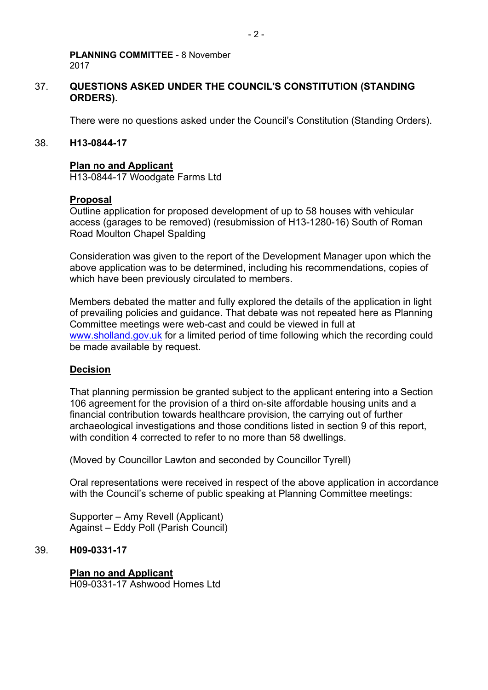### 37. **QUESTIONS ASKED UNDER THE COUNCIL'S CONSTITUTION (STANDING ORDERS).**

There were no questions asked under the Council's Constitution (Standing Orders).

#### 38. **H13-0844-17**

#### **Plan no and Applicant**

H13-0844-17 Woodgate Farms Ltd

#### **Proposal**

Outline application for proposed development of up to 58 houses with vehicular access (garages to be removed) (resubmission of H13-1280-16) South of Roman Road Moulton Chapel Spalding

Consideration was given to the report of the Development Manager upon which the above application was to be determined, including his recommendations, copies of which have been previously circulated to members.

Members debated the matter and fully explored the details of the application in light of prevailing policies and guidance. That debate was not repeated here as Planning Committee meetings were web-cast and could be viewed in full at [www.sholland.gov.uk](http://www.sholland.gov.uk/) for a limited period of time following which the recording could be made available by request.

#### **Decision**

That planning permission be granted subject to the applicant entering into a Section 106 agreement for the provision of a third on-site affordable housing units and a financial contribution towards healthcare provision, the carrying out of further archaeological investigations and those conditions listed in section 9 of this report, with condition 4 corrected to refer to no more than 58 dwellings.

(Moved by Councillor Lawton and seconded by Councillor Tyrell)

Oral representations were received in respect of the above application in accordance with the Council's scheme of public speaking at Planning Committee meetings:

Supporter – Amy Revell (Applicant) Against – Eddy Poll (Parish Council)

#### 39. **H09-0331-17**

#### **Plan no and Applicant**

H09-0331-17 Ashwood Homes Ltd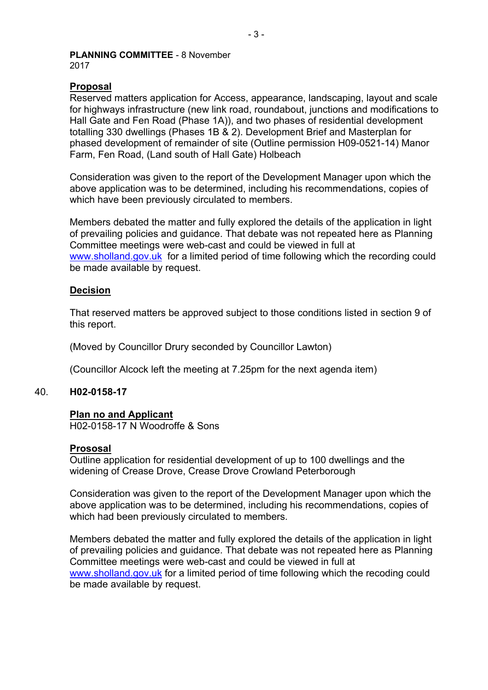## **Proposal**

Reserved matters application for Access, appearance, landscaping, layout and scale for highways infrastructure (new link road, roundabout, junctions and modifications to Hall Gate and Fen Road (Phase 1A)), and two phases of residential development totalling 330 dwellings (Phases 1B & 2). Development Brief and Masterplan for phased development of remainder of site (Outline permission H09-0521-14) Manor Farm, Fen Road, (Land south of Hall Gate) Holbeach

Consideration was given to the report of the Development Manager upon which the above application was to be determined, including his recommendations, copies of which have been previously circulated to members.

Members debated the matter and fully explored the details of the application in light of prevailing policies and guidance. That debate was not repeated here as Planning Committee meetings were web-cast and could be viewed in full at [www.sholland.gov.uk](http://www.sholland.gov.uk/) for a limited period of time following which the recording could be made available by request.

### **Decision**

That reserved matters be approved subject to those conditions listed in section 9 of this report.

(Moved by Councillor Drury seconded by Councillor Lawton)

(Councillor Alcock left the meeting at 7.25pm for the next agenda item)

### 40. **H02-0158-17**

#### **Plan no and Applicant**

H02-0158-17 N Woodroffe & Sons

#### **Prososal**

Outline application for residential development of up to 100 dwellings and the widening of Crease Drove, Crease Drove Crowland Peterborough

Consideration was given to the report of the Development Manager upon which the above application was to be determined, including his recommendations, copies of which had been previously circulated to members.

Members debated the matter and fully explored the details of the application in light of prevailing policies and guidance. That debate was not repeated here as Planning Committee meetings were web-cast and could be viewed in full at [www.sholland.gov.uk](http://www.sholland.gov.uk/) for a limited period of time following which the recoding could be made available by request.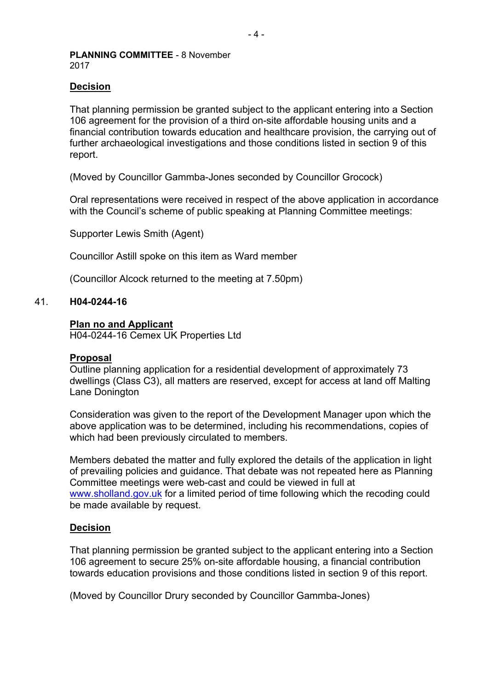### **Decision**

That planning permission be granted subject to the applicant entering into a Section 106 agreement for the provision of a third on-site affordable housing units and a financial contribution towards education and healthcare provision, the carrying out of further archaeological investigations and those conditions listed in section 9 of this report.

(Moved by Councillor Gammba-Jones seconded by Councillor Grocock)

Oral representations were received in respect of the above application in accordance with the Council's scheme of public speaking at Planning Committee meetings:

Supporter Lewis Smith (Agent)

Councillor Astill spoke on this item as Ward member

(Councillor Alcock returned to the meeting at 7.50pm)

#### 41. **H04-0244-16**

#### **Plan no and Applicant**

H04-0244-16 Cemex UK Properties Ltd

#### **Proposal**

Outline planning application for a residential development of approximately 73 dwellings (Class C3), all matters are reserved, except for access at land off Malting Lane Donington

Consideration was given to the report of the Development Manager upon which the above application was to be determined, including his recommendations, copies of which had been previously circulated to members.

Members debated the matter and fully explored the details of the application in light of prevailing policies and guidance. That debate was not repeated here as Planning Committee meetings were web-cast and could be viewed in full at [www.sholland.gov.uk](http://www.sholland.gov.uk/) for a limited period of time following which the recoding could be made available by request.

### **Decision**

That planning permission be granted subject to the applicant entering into a Section 106 agreement to secure 25% on-site affordable housing, a financial contribution towards education provisions and those conditions listed in section 9 of this report.

(Moved by Councillor Drury seconded by Councillor Gammba-Jones)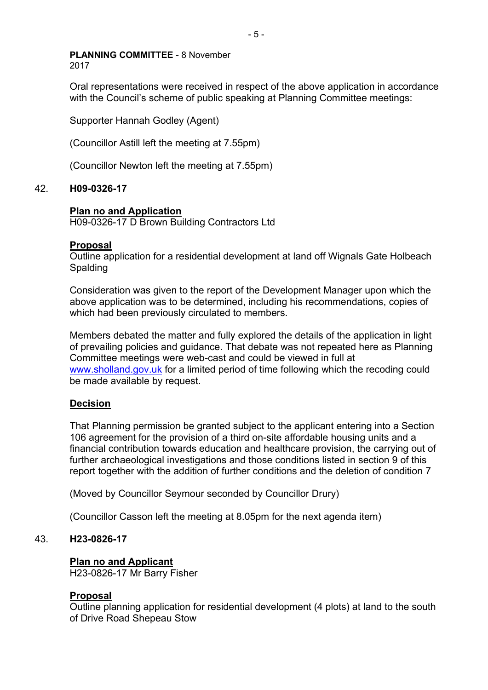Oral representations were received in respect of the above application in accordance with the Council's scheme of public speaking at Planning Committee meetings:

Supporter Hannah Godley (Agent)

(Councillor Astill left the meeting at 7.55pm)

(Councillor Newton left the meeting at 7.55pm)

## 42. **H09-0326-17**

## **Plan no and Application**

H09-0326-17 D Brown Building Contractors Ltd

## **Proposal**

Outline application for a residential development at land off Wignals Gate Holbeach Spalding

Consideration was given to the report of the Development Manager upon which the above application was to be determined, including his recommendations, copies of which had been previously circulated to members.

Members debated the matter and fully explored the details of the application in light of prevailing policies and guidance. That debate was not repeated here as Planning Committee meetings were web-cast and could be viewed in full at [www.sholland.gov.uk](http://www.sholland.gov.uk/) for a limited period of time following which the recoding could be made available by request.

## **Decision**

That Planning permission be granted subject to the applicant entering into a Section 106 agreement for the provision of a third on-site affordable housing units and a financial contribution towards education and healthcare provision, the carrying out of further archaeological investigations and those conditions listed in section 9 of this report together with the addition of further conditions and the deletion of condition 7

(Moved by Councillor Seymour seconded by Councillor Drury)

(Councillor Casson left the meeting at 8.05pm for the next agenda item)

## 43. **H23-0826-17**

### **Plan no and Applicant**

H23-0826-17 Mr Barry Fisher

### **Proposal**

Outline planning application for residential development (4 plots) at land to the south of Drive Road Shepeau Stow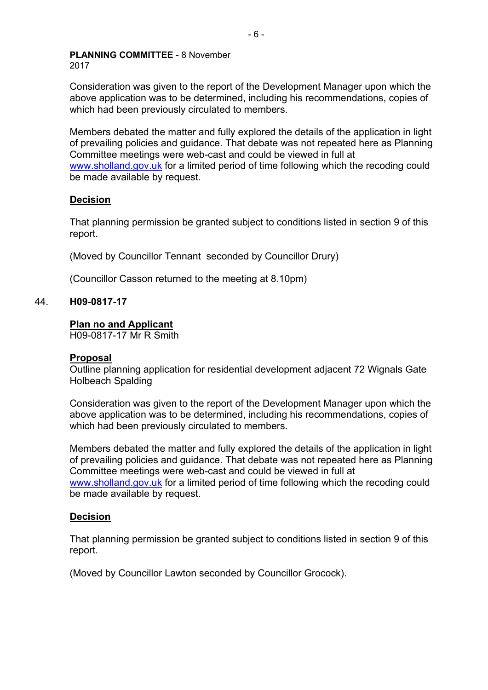Consideration was given to the report of the Development Manager upon which the above application was to be determined, including his recommendations, copies of which had been previously circulated to members.

Members debated the matter and fully explored the details of the application in light of prevailing policies and guidance. That debate was not repeated here as Planning Committee meetings were web-cast and could be viewed in full at [www.sholland.gov.uk](http://www.sholland.gov.uk/) for a limited period of time following which the recoding could be made available by request.

## **Decision**

That planning permission be granted subject to conditions listed in section 9 of this report.

(Moved by Councillor Tennant seconded by Councillor Drury)

(Councillor Casson returned to the meeting at 8.10pm)

## 44. **H09-0817-17**

### **Plan no and Applicant**

H09-0817-17 Mr R Smith

### **Proposal**

Outline planning application for residential development adjacent 72 Wignals Gate Holbeach Spalding

Consideration was given to the report of the Development Manager upon which the above application was to be determined, including his recommendations, copies of which had been previously circulated to members.

Members debated the matter and fully explored the details of the application in light of prevailing policies and guidance. That debate was not repeated here as Planning Committee meetings were web-cast and could be viewed in full at [www.sholland.gov.uk](http://www.sholland.gov.uk/) for a limited period of time following which the recoding could be made available by request.

### **Decision**

That planning permission be granted subject to conditions listed in section 9 of this report.

(Moved by Councillor Lawton seconded by Councillor Grocock).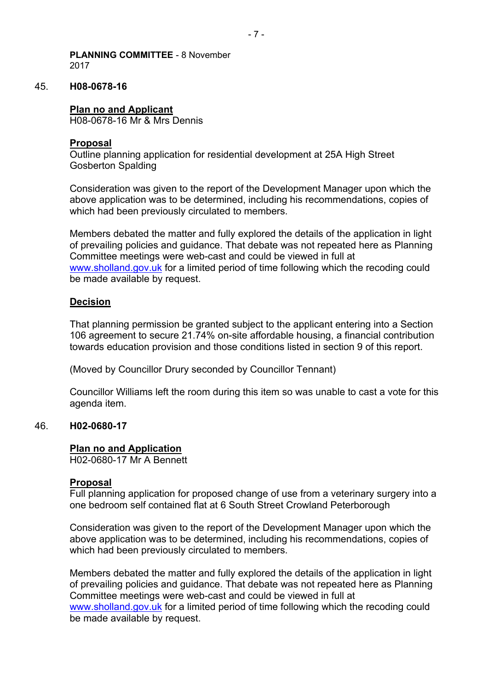### 45. **H08-0678-16**

#### **Plan no and Applicant**

H08-0678-16 Mr & Mrs Dennis

### **Proposal**

Outline planning application for residential development at 25A High Street Gosberton Spalding

Consideration was given to the report of the Development Manager upon which the above application was to be determined, including his recommendations, copies of which had been previously circulated to members.

Members debated the matter and fully explored the details of the application in light of prevailing policies and guidance. That debate was not repeated here as Planning Committee meetings were web-cast and could be viewed in full at [www.sholland.gov.uk](http://www.sholland.gov.uk/) for a limited period of time following which the recoding could be made available by request.

### **Decision**

That planning permission be granted subject to the applicant entering into a Section 106 agreement to secure 21.74% on-site affordable housing, a financial contribution towards education provision and those conditions listed in section 9 of this report.

(Moved by Councillor Drury seconded by Councillor Tennant)

Councillor Williams left the room during this item so was unable to cast a vote for this agenda item.

#### 46. **H02-0680-17**

#### **Plan no and Application**

H02-0680-17 Mr A Bennett

#### **Proposal**

Full planning application for proposed change of use from a veterinary surgery into a one bedroom self contained flat at 6 South Street Crowland Peterborough

Consideration was given to the report of the Development Manager upon which the above application was to be determined, including his recommendations, copies of which had been previously circulated to members.

Members debated the matter and fully explored the details of the application in light of prevailing policies and guidance. That debate was not repeated here as Planning Committee meetings were web-cast and could be viewed in full at [www.sholland.gov.uk](http://www.sholland.gov.uk/) for a limited period of time following which the recoding could be made available by request.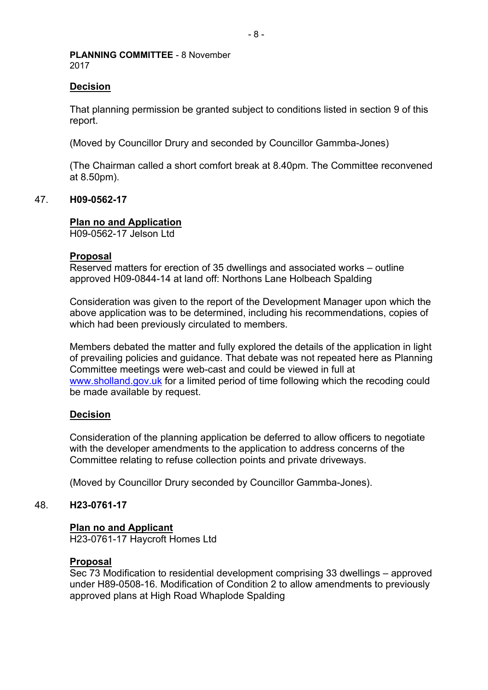### **Decision**

That planning permission be granted subject to conditions listed in section 9 of this report.

(Moved by Councillor Drury and seconded by Councillor Gammba-Jones)

(The Chairman called a short comfort break at 8.40pm. The Committee reconvened at 8.50pm).

## 47. **H09-0562-17**

## **Plan no and Application**

H09-0562-17 Jelson Ltd

### **Proposal**

Reserved matters for erection of 35 dwellings and associated works – outline approved H09-0844-14 at land off: Northons Lane Holbeach Spalding

Consideration was given to the report of the Development Manager upon which the above application was to be determined, including his recommendations, copies of which had been previously circulated to members.

Members debated the matter and fully explored the details of the application in light of prevailing policies and guidance. That debate was not repeated here as Planning Committee meetings were web-cast and could be viewed in full at [www.sholland.gov.uk](http://www.sholland.gov.uk/) for a limited period of time following which the recoding could be made available by request.

### **Decision**

Consideration of the planning application be deferred to allow officers to negotiate with the developer amendments to the application to address concerns of the Committee relating to refuse collection points and private driveways.

(Moved by Councillor Drury seconded by Councillor Gammba-Jones).

### 48. **H23-0761-17**

### **Plan no and Applicant**

H23-0761-17 Haycroft Homes Ltd

#### **Proposal**

Sec 73 Modification to residential development comprising 33 dwellings – approved under H89-0508-16. Modification of Condition 2 to allow amendments to previously approved plans at High Road Whaplode Spalding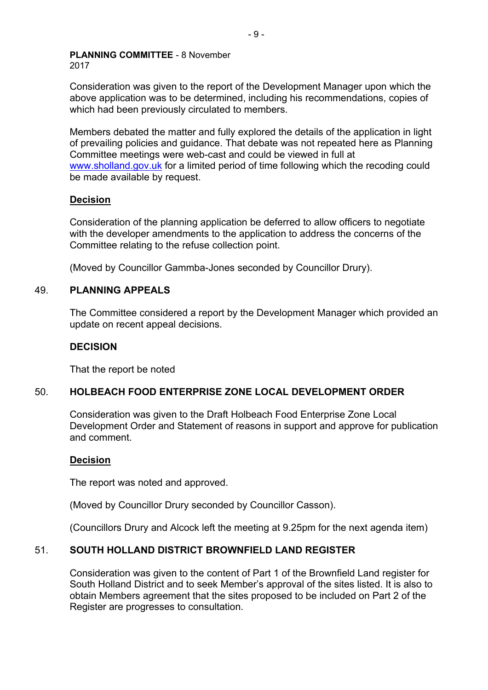Consideration was given to the report of the Development Manager upon which the above application was to be determined, including his recommendations, copies of which had been previously circulated to members.

Members debated the matter and fully explored the details of the application in light of prevailing policies and guidance. That debate was not repeated here as Planning Committee meetings were web-cast and could be viewed in full at [www.sholland.gov.uk](http://www.sholland.gov.uk/) for a limited period of time following which the recoding could be made available by request.

## **Decision**

Consideration of the planning application be deferred to allow officers to negotiate with the developer amendments to the application to address the concerns of the Committee relating to the refuse collection point.

(Moved by Councillor Gammba-Jones seconded by Councillor Drury).

## 49. **PLANNING APPEALS**

The Committee considered a report by the Development Manager which provided an update on recent appeal decisions.

## **DECISION**

That the report be noted

## 50. **HOLBEACH FOOD ENTERPRISE ZONE LOCAL DEVELOPMENT ORDER**

Consideration was given to the Draft Holbeach Food Enterprise Zone Local Development Order and Statement of reasons in support and approve for publication and comment.

## **Decision**

The report was noted and approved.

(Moved by Councillor Drury seconded by Councillor Casson).

(Councillors Drury and Alcock left the meeting at 9.25pm for the next agenda item)

## 51. **SOUTH HOLLAND DISTRICT BROWNFIELD LAND REGISTER**

Consideration was given to the content of Part 1 of the Brownfield Land register for South Holland District and to seek Member's approval of the sites listed. It is also to obtain Members agreement that the sites proposed to be included on Part 2 of the Register are progresses to consultation.